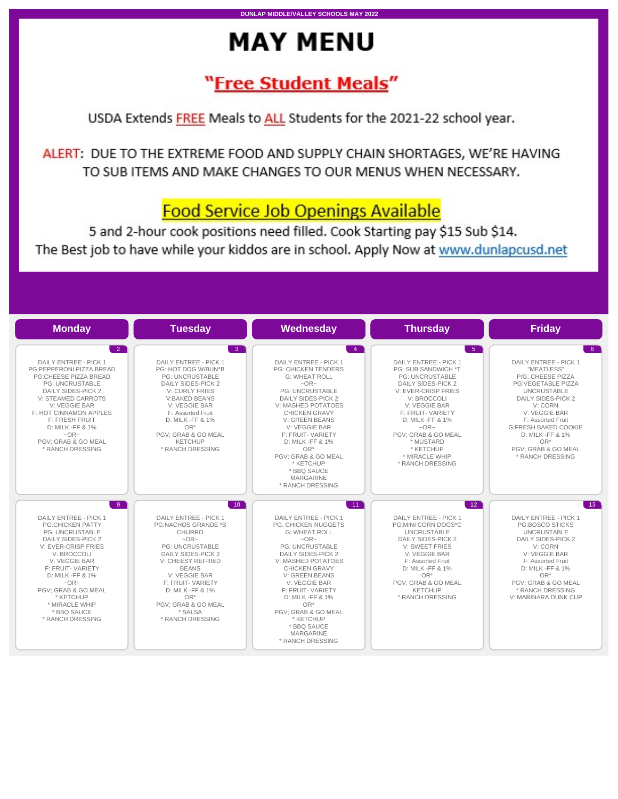# **MAY MENU**

## <u>"Free Student Meals"</u>

USDA Extends FREE Meals to ALL Students for the 2021-22 school year.

ALERT: DUE TO THE EXTREME FOOD AND SUPPLY CHAIN SHORTAGES, WE'RE HAVING TO SUB ITEMS AND MAKE CHANGES TO OUR MENUS WHEN NECESSARY.

### **Food Service Job Openings Available**

5 and 2-hour cook positions need filled. Cook Starting pay \$15 Sub \$14. The Best job to have while your kiddos are in school. Apply Now at www.dunlapcusd.net

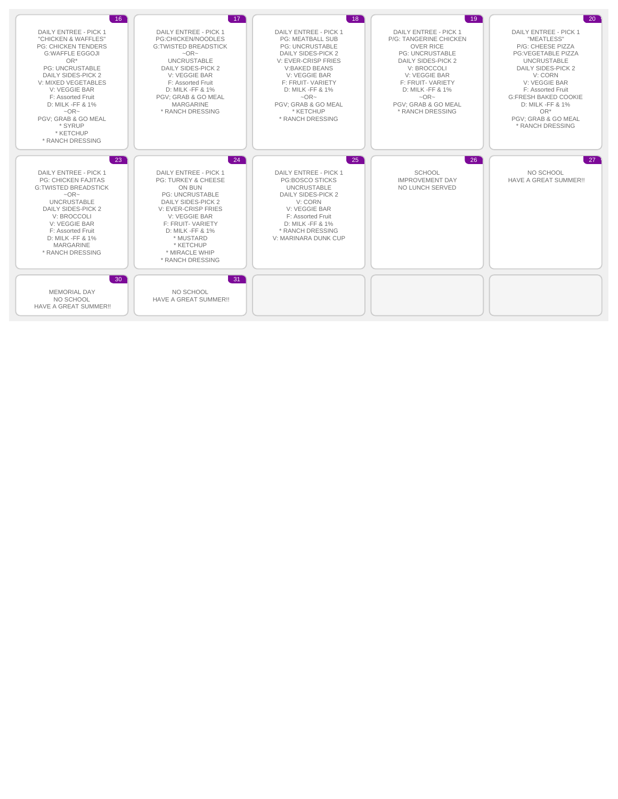